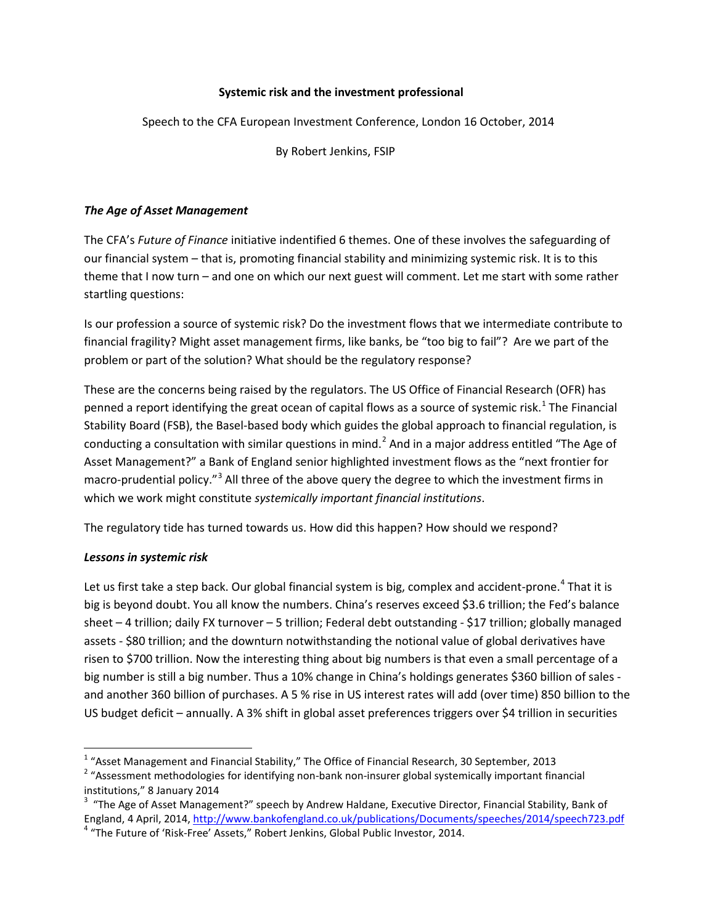### **Systemic risk and the investment professional**

Speech to the CFA European Investment Conference, London 16 October, 2014

By Robert Jenkins, FSIP

## *The Age of Asset Management*

The CFA's *Future of Finance* initiative indentified 6 themes. One of these involves the safeguarding of our financial system – that is, promoting financial stability and minimizing systemic risk. It is to this theme that I now turn – and one on which our next guest will comment. Let me start with some rather startling questions:

Is our profession a source of systemic risk? Do the investment flows that we intermediate contribute to financial fragility? Might asset management firms, like banks, be "too big to fail"? Are we part of the problem or part of the solution? What should be the regulatory response?

These are the concerns being raised by the regulators. The US Office of Financial Research (OFR) has penned a report identifying the great ocean of capital flows as a source of systemic risk.<sup>[1](#page-0-0)</sup> The Financial Stability Board (FSB), the Basel-based body which guides the global approach to financial regulation, is conducting a consultation with similar questions in mind.<sup>[2](#page-0-1)</sup> And in a major address entitled "The Age of Asset Management?" a Bank of England senior highlighted investment flows as the "next frontier for macro-prudential policy."<sup>[3](#page-0-2)</sup> All three of the above query the degree to which the investment firms in which we work might constitute *systemically important financial institutions*.

The regulatory tide has turned towards us. How did this happen? How should we respond?

### *Lessons in systemic risk*

Let us first take a step back. Our global financial system is big, complex and accident-prone.<sup>[4](#page-0-3)</sup> That it is big is beyond doubt. You all know the numbers. China's reserves exceed \$3.6 trillion; the Fed's balance sheet – 4 trillion; daily FX turnover – 5 trillion; Federal debt outstanding - \$17 trillion; globally managed assets - \$80 trillion; and the downturn notwithstanding the notional value of global derivatives have risen to \$700 trillion. Now the interesting thing about big numbers is that even a small percentage of a big number is still a big number. Thus a 10% change in China's holdings generates \$360 billion of sales and another 360 billion of purchases. A 5 % rise in US interest rates will add (over time) 850 billion to the US budget deficit – annually. A 3% shift in global asset preferences triggers over \$4 trillion in securities

<span id="page-0-0"></span> <sup>1</sup> "Asset Management and Financial Stability," The Office of Financial Research, 30 September, 2013

<span id="page-0-1"></span><sup>&</sup>lt;sup>2</sup> "Assessment methodologies for identifying non-bank non-insurer global systemically important financial institutions," 8 January 2014

<span id="page-0-3"></span><span id="page-0-2"></span> $3$  "The Age of Asset Management?" speech by Andrew Haldane, Executive Director, Financial Stability, Bank of England, 4 April, 2014[, http://www.bankofengland.co.uk/publications/Documents/speeches/2014/speech723.pdf](http://www.bankofengland.co.uk/publications/Documents/speeches/2014/speech723.pdf) 4 "The Future of 'Risk-Free' Assets," Robert Jenkins, Global Public Investor, 2014.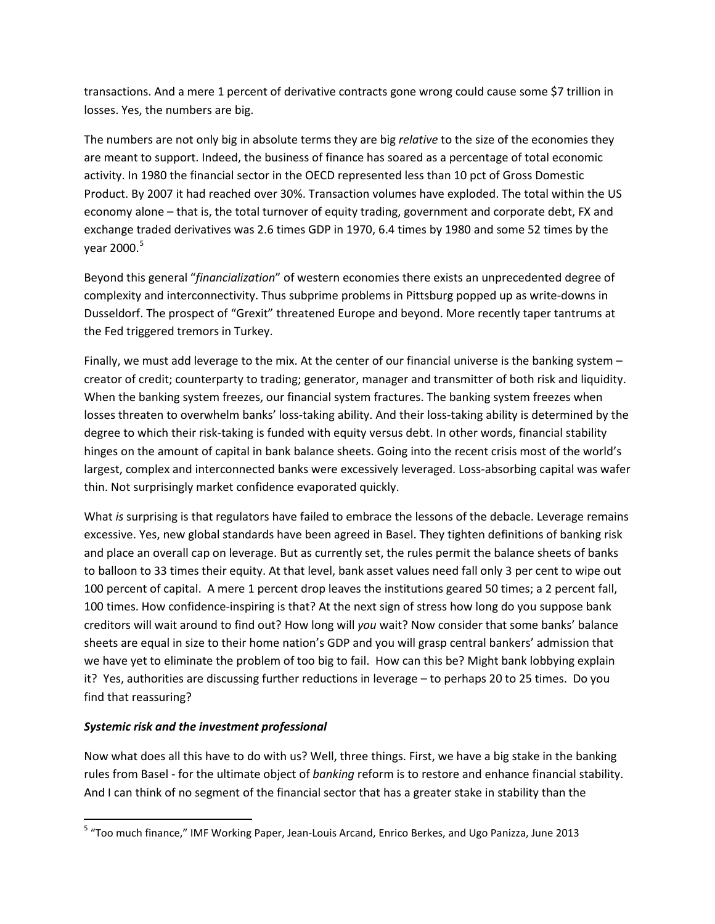transactions. And a mere 1 percent of derivative contracts gone wrong could cause some \$7 trillion in losses. Yes, the numbers are big.

The numbers are not only big in absolute terms they are big *relative* to the size of the economies they are meant to support. Indeed, the business of finance has soared as a percentage of total economic activity. In 1980 the financial sector in the OECD represented less than 10 pct of Gross Domestic Product. By 2007 it had reached over 30%. Transaction volumes have exploded. The total within the US economy alone – that is, the total turnover of equity trading, government and corporate debt, FX and exchange traded derivatives was 2.6 times GDP in 1970, 6.4 times by 1980 and some 52 times by the year 2000.<sup>[5](#page-0-3)</sup>

Beyond this general "*financialization*" of western economies there exists an unprecedented degree of complexity and interconnectivity. Thus subprime problems in Pittsburg popped up as write-downs in Dusseldorf. The prospect of "Grexit" threatened Europe and beyond. More recently taper tantrums at the Fed triggered tremors in Turkey.

Finally, we must add leverage to the mix. At the center of our financial universe is the banking system – creator of credit; counterparty to trading; generator, manager and transmitter of both risk and liquidity. When the banking system freezes, our financial system fractures. The banking system freezes when losses threaten to overwhelm banks' loss-taking ability. And their loss-taking ability is determined by the degree to which their risk-taking is funded with equity versus debt. In other words, financial stability hinges on the amount of capital in bank balance sheets. Going into the recent crisis most of the world's largest, complex and interconnected banks were excessively leveraged. Loss-absorbing capital was wafer thin. Not surprisingly market confidence evaporated quickly.

What *is* surprising is that regulators have failed to embrace the lessons of the debacle. Leverage remains excessive. Yes, new global standards have been agreed in Basel. They tighten definitions of banking risk and place an overall cap on leverage. But as currently set, the rules permit the balance sheets of banks to balloon to 33 times their equity. At that level, bank asset values need fall only 3 per cent to wipe out 100 percent of capital. A mere 1 percent drop leaves the institutions geared 50 times; a 2 percent fall, 100 times. How confidence-inspiring is that? At the next sign of stress how long do you suppose bank creditors will wait around to find out? How long will *you* wait? Now consider that some banks' balance sheets are equal in size to their home nation's GDP and you will grasp central bankers' admission that we have yet to eliminate the problem of too big to fail. How can this be? Might bank lobbying explain it? Yes, authorities are discussing further reductions in leverage – to perhaps 20 to 25 times. Do you find that reassuring?

# *Systemic risk and the investment professional*

Now what does all this have to do with us? Well, three things. First, we have a big stake in the banking rules from Basel - for the ultimate object of *banking* reform is to restore and enhance financial stability. And I can think of no segment of the financial sector that has a greater stake in stability than the

 <sup>5</sup> "Too much finance," IMF Working Paper, Jean-Louis Arcand, Enrico Berkes, and Ugo Panizza, June 2013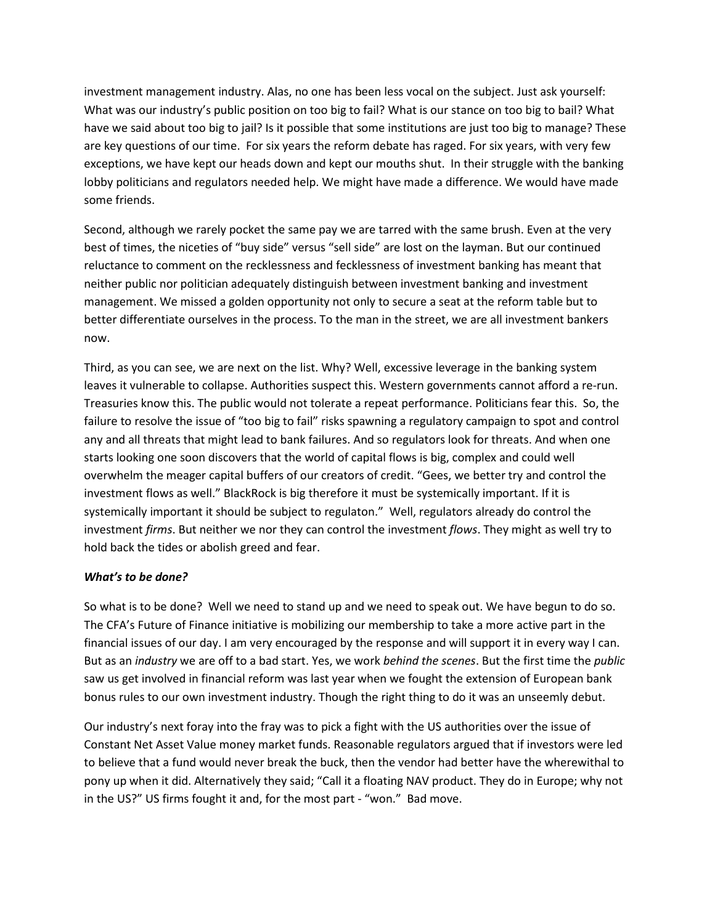investment management industry. Alas, no one has been less vocal on the subject. Just ask yourself: What was our industry's public position on too big to fail? What is our stance on too big to bail? What have we said about too big to jail? Is it possible that some institutions are just too big to manage? These are key questions of our time. For six years the reform debate has raged. For six years, with very few exceptions, we have kept our heads down and kept our mouths shut. In their struggle with the banking lobby politicians and regulators needed help. We might have made a difference. We would have made some friends.

Second, although we rarely pocket the same pay we are tarred with the same brush. Even at the very best of times, the niceties of "buy side" versus "sell side" are lost on the layman. But our continued reluctance to comment on the recklessness and fecklessness of investment banking has meant that neither public nor politician adequately distinguish between investment banking and investment management. We missed a golden opportunity not only to secure a seat at the reform table but to better differentiate ourselves in the process. To the man in the street, we are all investment bankers now.

Third, as you can see, we are next on the list. Why? Well, excessive leverage in the banking system leaves it vulnerable to collapse. Authorities suspect this. Western governments cannot afford a re-run. Treasuries know this. The public would not tolerate a repeat performance. Politicians fear this. So, the failure to resolve the issue of "too big to fail" risks spawning a regulatory campaign to spot and control any and all threats that might lead to bank failures. And so regulators look for threats. And when one starts looking one soon discovers that the world of capital flows is big, complex and could well overwhelm the meager capital buffers of our creators of credit. "Gees, we better try and control the investment flows as well." BlackRock is big therefore it must be systemically important. If it is systemically important it should be subject to regulaton." Well, regulators already do control the investment *firms*. But neither we nor they can control the investment *flows*. They might as well try to hold back the tides or abolish greed and fear.

### *What's to be done?*

So what is to be done? Well we need to stand up and we need to speak out. We have begun to do so. The CFA's Future of Finance initiative is mobilizing our membership to take a more active part in the financial issues of our day. I am very encouraged by the response and will support it in every way I can. But as an *industry* we are off to a bad start. Yes, we work *behind the scenes*. But the first time the *public* saw us get involved in financial reform was last year when we fought the extension of European bank bonus rules to our own investment industry. Though the right thing to do it was an unseemly debut.

Our industry's next foray into the fray was to pick a fight with the US authorities over the issue of Constant Net Asset Value money market funds. Reasonable regulators argued that if investors were led to believe that a fund would never break the buck, then the vendor had better have the wherewithal to pony up when it did. Alternatively they said; "Call it a floating NAV product. They do in Europe; why not in the US?" US firms fought it and, for the most part - "won." Bad move.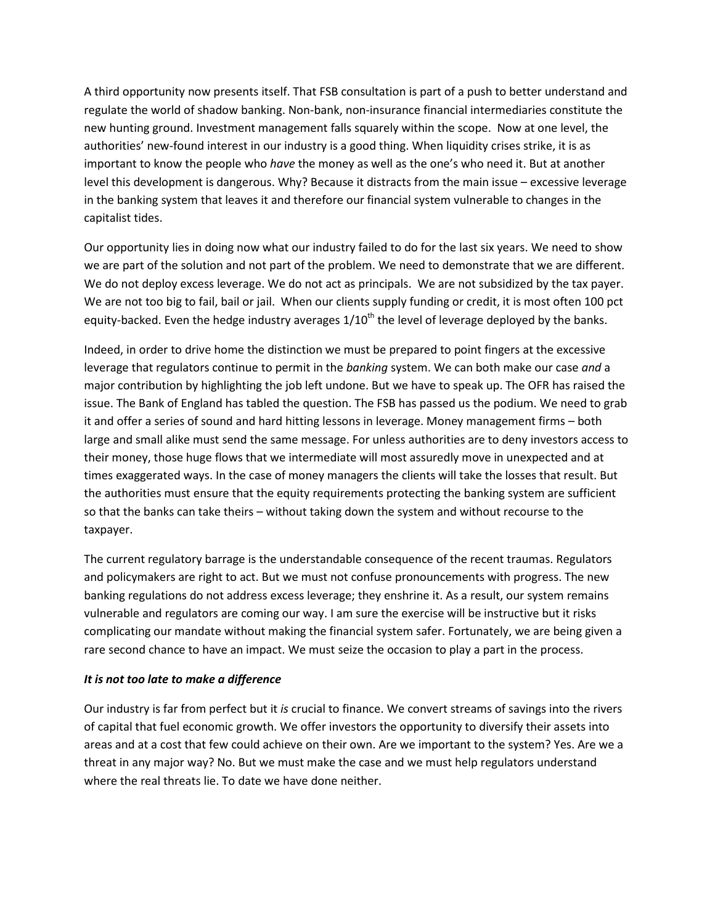A third opportunity now presents itself. That FSB consultation is part of a push to better understand and regulate the world of shadow banking. Non-bank, non-insurance financial intermediaries constitute the new hunting ground. Investment management falls squarely within the scope. Now at one level, the authorities' new-found interest in our industry is a good thing. When liquidity crises strike, it is as important to know the people who *have* the money as well as the one's who need it. But at another level this development is dangerous. Why? Because it distracts from the main issue – excessive leverage in the banking system that leaves it and therefore our financial system vulnerable to changes in the capitalist tides.

Our opportunity lies in doing now what our industry failed to do for the last six years. We need to show we are part of the solution and not part of the problem. We need to demonstrate that we are different. We do not deploy excess leverage. We do not act as principals. We are not subsidized by the tax payer. We are not too big to fail, bail or jail. When our clients supply funding or credit, it is most often 100 pct equity-backed. Even the hedge industry averages  $1/10^{th}$  the level of leverage deployed by the banks.

Indeed, in order to drive home the distinction we must be prepared to point fingers at the excessive leverage that regulators continue to permit in the *banking* system. We can both make our case *and* a major contribution by highlighting the job left undone. But we have to speak up. The OFR has raised the issue. The Bank of England has tabled the question. The FSB has passed us the podium. We need to grab it and offer a series of sound and hard hitting lessons in leverage. Money management firms – both large and small alike must send the same message. For unless authorities are to deny investors access to their money, those huge flows that we intermediate will most assuredly move in unexpected and at times exaggerated ways. In the case of money managers the clients will take the losses that result. But the authorities must ensure that the equity requirements protecting the banking system are sufficient so that the banks can take theirs – without taking down the system and without recourse to the taxpayer.

The current regulatory barrage is the understandable consequence of the recent traumas. Regulators and policymakers are right to act. But we must not confuse pronouncements with progress. The new banking regulations do not address excess leverage; they enshrine it. As a result, our system remains vulnerable and regulators are coming our way. I am sure the exercise will be instructive but it risks complicating our mandate without making the financial system safer. Fortunately, we are being given a rare second chance to have an impact. We must seize the occasion to play a part in the process.

### *It is not too late to make a difference*

Our industry is far from perfect but it *is* crucial to finance. We convert streams of savings into the rivers of capital that fuel economic growth. We offer investors the opportunity to diversify their assets into areas and at a cost that few could achieve on their own. Are we important to the system? Yes. Are we a threat in any major way? No. But we must make the case and we must help regulators understand where the real threats lie. To date we have done neither.